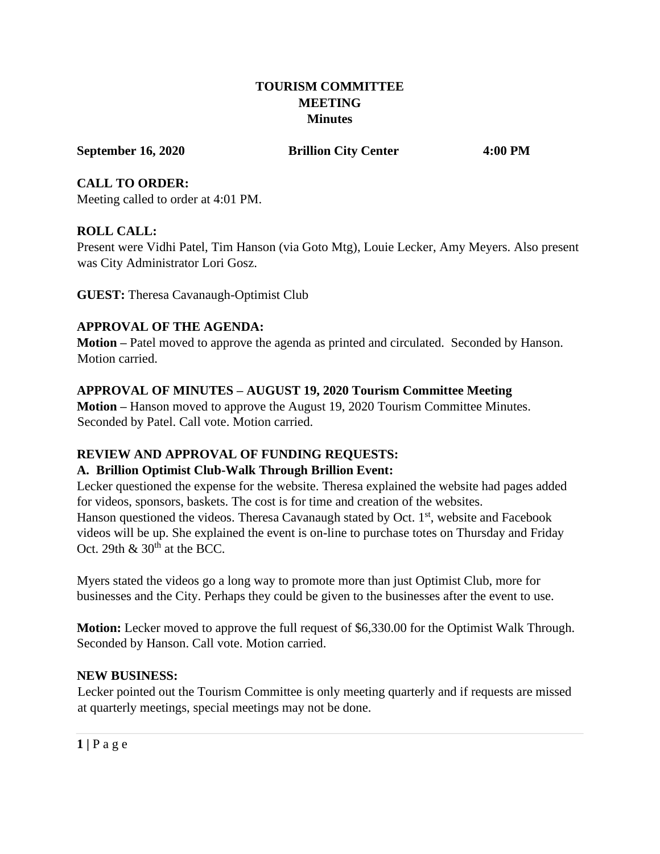#### **TOURISM COMMITTEE MEETING Minutes**

**September 16, 2020 Brillion City Center 4:00 PM**

**CALL TO ORDER:** Meeting called to order at 4:01 PM.

### **ROLL CALL:**

Present were Vidhi Patel, Tim Hanson (via Goto Mtg), Louie Lecker, Amy Meyers. Also present was City Administrator Lori Gosz.

**GUEST:** Theresa Cavanaugh-Optimist Club

# **APPROVAL OF THE AGENDA:**

**Motion –** Patel moved to approve the agenda as printed and circulated. Seconded by Hanson. Motion carried.

# **APPROVAL OF MINUTES – AUGUST 19, 2020 Tourism Committee Meeting**

**Motion –** Hanson moved to approve the August 19, 2020 Tourism Committee Minutes. Seconded by Patel. Call vote. Motion carried.

# **REVIEW AND APPROVAL OF FUNDING REQUESTS:**

### **A. Brillion Optimist Club-Walk Through Brillion Event:**

Lecker questioned the expense for the website. Theresa explained the website had pages added for videos, sponsors, baskets. The cost is for time and creation of the websites. Hanson questioned the videos. Theresa Cavanaugh stated by Oct.  $1<sup>st</sup>$ , website and Facebook videos will be up. She explained the event is on-line to purchase totes on Thursday and Friday Oct. 29th  $\&$  30<sup>th</sup> at the BCC.

Myers stated the videos go a long way to promote more than just Optimist Club, more for businesses and the City. Perhaps they could be given to the businesses after the event to use.

**Motion:** Lecker moved to approve the full request of \$6,330.00 for the Optimist Walk Through. Seconded by Hanson. Call vote. Motion carried.

### **NEW BUSINESS:**

Lecker pointed out the Tourism Committee is only meeting quarterly and if requests are missed at quarterly meetings, special meetings may not be done.